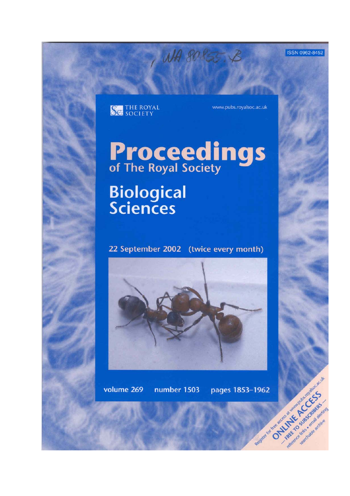ISSN 0962-8452

**OF THE ROYAL** 

www.pubs.royalsoc.ac.uk

# **Proceedings**<br>of The Royal Society **Biological**<br>Sciences

 $MABORSE$ 

22 September 2002 (twice every month)



volume 269

number 1503

pages 1853-1962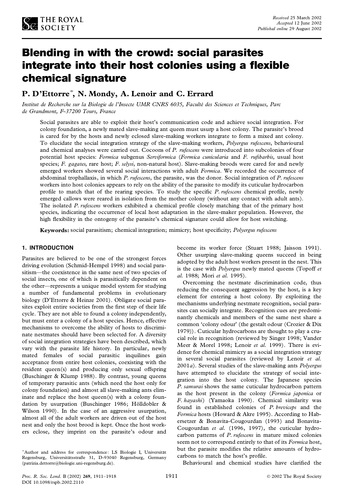

# Blending in with the crowd: social parasites integrate into their host colonies using a flexible chemical signature

**P. D'Ettorre** \***, N. Mondy, A. Lenoir and C. Errard**

Institut de Recherche sur la Biologie de l'Insecte UMR CNRS 6035, Faculté des Sciences et Techniques, Parc *de Grandmont, F-37200 Tours, France*

Social parasites are able to exploit their host's communication code and achieve social integration. For colony foundation, a newly mated slave-making ant queen must usurp a host colony. The parasite's brood is cared for by the hosts and newly eclosed slave-making workers integrate to form a mixed ant colony. To elucidate the social integration strategy of the slave-making workers, *Polyergus rufescens*, behavioural and chemical analyses were carried out. Cocoons of *P. rufescens* were introduced into subcolonies of four potential host species: *Formica* subgenus *Serviformica* (*Formica cunicularia* and *F. ru barbis,* usual host species; *F. gagates*, rare host; *F*. *selysi*, non-natural host). Slave-making broods were cared for and newly emerged workers showed several social interactions with adult *Formica*. We recorded the occurrence of abdominal trophallaxis, in which *P*. *rufescens*, the parasite, was the donor. Social integration of *P*. *rufescens* workers into host colonies appears to rely on the ability of the parasite to modify its cuticular hydrocarbon profile to match that of the rearing species. To study the specific P. *rufescens* chemical profile, newly emerged callows were reared in isolation from the mother colony (without any contact with adult ants). The isolated *P. rufescens* workers exhibited a chemical profile closely matching that of the primary host species, indicating the occurrence of local host adaptation in the slave-maker population. However, the high flexibility in the ontogeny of the parasite's chemical signature could allow for host switching.

Keywords: social parasitism; chemical integration; mimicry; host specificity; *Polyergus rufescens* 

# **1. INTRODUCTION**

Parasites are believed to be one of the strongest forces driving evolution (Schmid-Hempel 1998) and social para sitism—the coexistence in the same nest of two species of social insects, one of which is parasitically dependent on the other—represents a unique model system for studying a number of fundamental problems in evolutionary biology (D'Ettorre & Heinze 2001). Obligate social para sites exploit entire societies from the first step of their life cycle. They are not able to found a colony independently, but must enter a colony of a host species. Hence, effective mechanisms to overcome the ability of hosts to discrimi nate nestmates should have been selected for. A diversity of social integration strategies have been described, which vary with the parasite life history. In particular, newly mated females of social parasitic inquilines gain acceptance from entire host colonies, coexisting with the resident queen(s) and producing only sexual offspring (Buschinger & Klump 1988). By contrast, young queens of temporary parasitic ants (which need the host only for colony foundation) and almost all slave-making ants eliminate and replace the host queen(s) with a colony foun dation by usurpation (Buschinger 1986; Hölldobler & Wilson 1990). In the case of an aggressive usurpation, almost all of the adult workers are driven out of the host nest and only the host brood is kept. Once the host work ers eclose, they imprint on the parasite's odour and become its worker force (Stuart 1988; Jaisson 1991). Other usurping slave-making queens succeed in being adopted by the adult host workers present in the nest. This is the case with *Polyergus* newly mated queens (Topoff *et al.* 1988; Mori *et al.* 1995).

Overcoming the nestmate discrimination code, thus reducing the consequent aggression by the host, is a key element for entering a host colony. By exploiting the mechanisms underlying nestmate recognition, social para sites can socially integrate. Recognition cues are predomi nantly chemicals and members of the same nest share a common 'colony odour' (the gestalt odour (Crozier & Dix 1979)). Cuticular hydrocarbons are thought to play a cru cial role in recognition (reviewed by Singer 1998; Vander Meer & Morel 1998; Lenoir *et al.* 1999). There is evi dence for chemical mimicry as a social integration strategy in several social parasites (reviewed by Lenoir *et al.* 2001*a*). Several studies of the slave-making ants *Polyergus* have attempted to elucidate the strategy of social inte gration into the host colony. The Japanese species *P*. *samurai* shows the same cuticular hydrocarbon pattern as the host present in the colony (*Formica japonica* or *F*. *hayashi*) (Yamaoka 1990). Chemical similarity was found in established colonies of *P*. *breviceps* and the *Formica* hosts (Howard & Akre 1995). According to Hab ersetzer & Bonavita-Cougourdan (1993) and Bonavita- Cougourdan *et al.* (1996, 1997), the cuticular hydro carbon patterns of *P*. *rufescens* in mature mixed colonies seem not to correspond entirely to that of its *Formica* host, but the parasite modifies the relative amounts of hydrocarbons to match the host's profile.

Behavioural and chemical studies have clarified the

<sup>\*</sup>Author and address for correspondence: LS Biologie I, Universität Regensburg, Universitätsstraße 31, D-93040 Regensburg, Germany (patrizia.dettorre@biologie.uni-regensburg.de).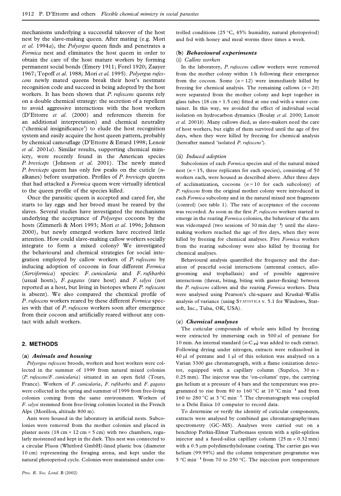mechanisms underlying a successful takeover of the host nest by the slave-making queen. After mating (e.g. Mori *et al.* 1994*a*), the *Polyergus* queen finds and penetrates a *Formica* nest and eliminates the host queen in order to obtain the care of the host mature workers by forming permanent social bonds (Emery 1911; Forel 1920; Zaayer 1967; Topoff *et al.* 1988; Mori *et al.* 1995). *Polyergus rufescens* newly mated queens break their host's nestmate recognition code and succeed in being adopted by the host workers. It has been shown that *P*. *rufescens* queens rely on a double chemical strategy: the secretion of a repellent to avoid aggressive interactions with the host workers (D'Ettorre *et al.* (2000) and references therein for an additional interpretation) and chemical neutrality ('chemical insignificance') to elude the host recognition system and easily acquire the host queen pattern, probably by chemical camouflage (D'Ettorre & Errard 1998; Lenoir *et al.* 2001*a*). Similar results, supporting chemical mimicry, were recently found in the American species *P*. *breviceps* (Johnson *et al.* 2001). The newly mated *P*. *breviceps* queen has only few peaks on the cuticle (*n* alkanes) before usurpation. Profiles of *P. breviceps* queens that had attacked a *Formica* queen were virtually identical to the queen profile of the species killed.

Once the parasitic queen is accepted and cared for, she starts to lay eggs and her brood must be reared by the slaves. Several studies have investigated the mechanisms underlying the acceptance of *Polyergus* cocoons by the hosts (Zimmerli & Mori 1993; Mori *et al.* 1996; Johnson 2000), but newly emerged workers have received little attention. How could slave-making callow workers socially integrate to form amixed colony? We investigated the behavioural and chemical strategies for social inte gration employed by callow workers of *P*. *rufescens* by inducing adoption of cocoons in four different *Formica* (*Serviformica*) species: *F*. *cunicularia* and *F*. *ru barbis* (usual hosts), *F*. *gagates* (rare host) and *F*. *selysi* (not reported as a host, but living in biotopes where *P*. *rufescens* is absent). We also compared the chemical profile of *P*. *rufescens* workers reared by these different *Formica* species with that of *P*. *rufescens* workers soon after emergence from their cocoon and artificially reared without any contact with adult workers.

# **2. METHODS**

#### (**a**) *Animals and housing*

*Polyergus rufescens* broods, workers and host workers were collected in the summer of 1999 from natural mixed colonies (*P. rufescens*/*F. cunicularia*) situated in an open field (Tours, France). Workers of *F*. *cunicularia*, *F*. *ru barbis* and *F*. *gagates* were collected in the spring and summer of 1999 from free-living colonies coming from the same environment. Workers of *F*. *selysi* stemmed from free-living colonies located in the French Alps (Morillon, altitude 800 m).

Ants were housed in the laboratory in artificial nests. Subcolonies were removed from the mother colonies and placed in plaster nests (18 cm  $\times$  12 cm  $\times$  5 cm) with two chambers, regularly moistened and kept in the dark. This nest was connected to a circular Fluon (Whitford GmbH)-lined plastic box (diameter 10 cm) representing the foraging arena, and kept under the natural photoperiod cycle. Colonies were maintained under controlled conditions (25 °C, 45% humidity, natural photoperiod) and fed with honey and meal worms three times a week.

#### (**b**) *Behavioural experiments*

#### (i) *Callow workers*

In the laboratory, *P*. *rufescens* callow workers were removed from the mother colony within 1 h following their emergence from the cocoon. Some  $(n = 12)$  were immediately killed by freezing for chemical analysis. The remaining callows  $(n = 20)$ were separated from the mother colony and kept together in glass tubes (18 cm  $\times$  1.5 cm) fitted at one end with a water container. In this way, we avoided the effect of individual social isolation on hydrocarbon dynamics (Boulay *et al.* 2000; Lenoir *et al.* 2001*b*). Many callows died, as slave-makers need the care of host workers, but eight of them survived until the age of five days, when they were killed by freezing for chemical analysis (hereafter named 'isolated *P*. *rufescens'*).

#### (ii) *Induced adoption*

Subcolonies of each *Formica* species and of the natural mixed nest ( $n = 15$ , three replicates for each species), consisting of 50 workers each, were housed as described above. After three days of acclimatization, cocoons  $(n = 10$  for each subcolony) of *P*. *rufescens* from the original mother colony were introduced in each *Formica* subcolony and in the natural mixed nest fragments (control) (see table 1). The rate of acceptance of the cocoons was recorded. As soon as the first *P. rufescens* workers started to emerge in the rearing *Formica* colonies, the behaviour of the ants was videotaped (two sessions of 30 min day<sup>-1</sup>) until the slavemaking workers reached the age of five days, when they were killed by freezing for chemical analyses. Five *Formica* workers from the rearing subcolony were also killed by freezing for chemical analyses.

Behavioural analysis quantified the frequency and the duration of peaceful social interactions (antennal contact, allo grooming and trophallaxis) and of possible aggressive interactions (threat, biting, biting with gaster-flexing) between the *P*. *rufescens* callows and the rearing *Formica* workers. Data were analysed using Pearson's chi-square and Kruskal–Wallis analysis of variance (using STATISTICA v. 5.1 for Windows, Statsoft, Inc., Tulsa, OK, USA).

#### (**c**) *Chemical analyses*

The cuticular compounds of whole ants killed by freezing were extracted by immersing each in 500 µl of pentane for 10 min. An internal standard  $(n-C_{15})$  was added to each extract. Following drying under nitrogen, extracts were redissolved in  $40 \mu l$  of pentane and  $1 \mu l$  of this solution was analysed on a Varian 3300 gas chromatograph, with a flame ionization detector, equipped with a capillary column (Supelco,  $30 \text{ m} \times$ 0.25 mm). The injector was the 'on-column' type, the carrying gas helium at a pressure of 4 bars and the temperature was pro grammed to rise from 80 to 160 °C at 10 °C min<sup>-1</sup> and from  $160$  to 280 °C at 3 °C min<sup>-1</sup>. The chromatograph was coupled to a Delsi Enica 10 computer to record data.

To determine or verify the identity of cuticular components, extracts were analysed by combined gas chromatography/mass spectrometry (GC–MS). Analyses were carried out on a benchtop Perkin-Elmer Turbomass system with a split-splitless injector and a fused-silica capillary column  $(25 \text{ m} \times 0.32 \text{ mm})$ with a  $0.5 \mu m$  polydimethylsiloxane coating. The carrier gas was helium (99.99%) and the column temperature programme was  $5^{\circ}$ C min<sup>-1</sup> from 70 to 250 °C. The injection port temperature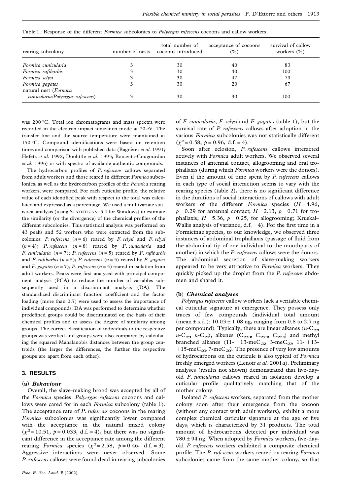| rearing subcolony                | number of nests | total number of<br>cocoons introduced | acceptance of cocoons<br>$(\%)$ | survival of callow<br>workers $(\% )$ |
|----------------------------------|-----------------|---------------------------------------|---------------------------------|---------------------------------------|
| Formica cunicularia              |                 | 30                                    | 40                              | 83                                    |
| Formica rufibarbis               |                 | 30                                    | 40                              | 100                                   |
| Formica selysi                   |                 | 30                                    | 47                              | 79                                    |
| Formica gagates                  |                 | 30                                    | 20                              | 67                                    |
| natural nest (Formica            |                 |                                       |                                 |                                       |
| cunicularia/Polyergus rufescens) |                 | 30                                    | 90                              | 100                                   |

Table 1. Response of the different *Formica* subcolonies to *Polyergus rufescens* cocoons and callow workers.

was 200 °C. Total ion chromatograms and mass spectra were recorded in the electron impact ionization mode at 70 eV. The transfer line and the source temperature were maintained at 150 °C. Compound identifications were based on retention times and comparison with published data (Bagnères et al. 1991; Hefetz *et al.* 1992; Doolittle *et al.* 1995; Bonavita-Cougourdan *et al.* 1996) or with spectra of available authentic compounds.

The hydrocarbon profiles of *P. rufescens* callows separated from adult workers and those reared in different *Formica* subcolonies, as well as the hydrocarbon profiles of the *Formica* rearing workers, were compared. For each cuticular profile, the relative value of each identified peak with respect to the total was calculated and expressed as a percentage. We used a multivariate statistical analysis (using STATISTICA v. 5.1 for Windows) to estimate the similarity (or the divergence) of the chemical profiles of the different subcolonies. This statistical analysis was performed on 43 peaks and 52 workers who were extracted from the sub colonies: *P*. *rufescens* (*n* = 6) reared by *F*. *selysi* and *F*. *selysi* (*n* = 4); *P*. *rufescens* (*n* = 8) reared by *F*. *cunicularia* and *F. cunicularia*  $(n = 7)$ ; *P. rufescens*  $(n = 5)$  reared by *F. rufibarbis* and *F*. *rufibarbis* ( $n = 5$ ); *P. rufescens* ( $n = 5$ ) reared by *F. gagates* and *F*. *gagates*  $(n = 7)$ ; *P. rufescens*  $(n = 5)$  reared in isolation from adult workers. Peaks were first analysed with principal component analysis (PCA) to reduce the number of variables subsequently used in a discriminant analysis (DA). The standardized discriminant function coefficient and the factor loading (more than 0.7) were used to assess the importance of individual compounds. DA was performed to determine whether predefined groups could be discriminated on the basis of their chemical profiles and to assess the degree of similarity among groups. The correct classification of individuals to the respective groups was verified and groups were also compared by calculating the squared Mahalanobis distances between the group centroids (the larger the differences, the further the respective groups are apart from each other).

#### **3. RESULTS**

#### (**a**) *Behaviour*

Overall, the slave-making brood was accepted by all of the *Formica* species. *Polyergus rufescens* cocoons and callows were cared for in each *Formica* subcolony (table 1). The acceptance rate of *P*. *rufescens* cocoons in the rearing Formica subcolonies was significantly lower compared with the acceptance in the natural mixed colony  $(\chi^2 = 10.51, p = 0.033, d.f. = 4)$ , but there was no significant difference in the acceptance rate among the different rearing *Formica* species  $(\chi^2 = 2.58, p = 0.46, d.f. = 3)$ . Aggressive interactions were never observed. Some *P*. *rufescens* callows were found dead in rearing subcolonies

of *F*. *cunicularia*, *F*. *selysi* and *F*. *gagates* (table 1), but the survival rate of *P*. *rufescens* callows after adoption in the various *Formica* subcolonies was not statistically different  $(\chi^2 = 0.58, p = 0.96, d.f. = 4).$ 

Soon after eclosion, *P*. *rufescen*s callows interacted actively with *Formica* adult workers. We observed several instances of antennal contact, allogrooming and oral tro phallaxis (during which *Formica* workers were the donors). Even if the amount of time spent by *P*. *rufescens* callows in each type of social interaction seems to vary with the rearing species (table 2), there is no significant difference in the durations of social interactions of callows with adult workers of the different *Formica* species (*H* = 4.96,  $p = 0.29$  for antennal contact;  $H = 2.13$ ,  $p = 0.71$  for trophallaxis;  $H = 5.36$ ,  $p = 0.25$ , for allogrooming; Kruskal– Wallis analysis of variance,  $d.f. = 4$ ). For the first time in a Formicinae species, to our knowledge, we observed three instances of abdominal trophallaxis (passage of fluid from the abdominal tip of one individual to the mouthparts of another) in which the *P*. *rufescens* callows were the donors. The abdominal secretion of slave-making workers appeared to be very attractive to *Formica* workers. They quickly picked up the droplet from the *P*. *rufescens* abdo men and shared it.

#### (**b**) *Chemical analyses*

*Polyergus rufescens* callow workers lack a veritable chemi cal cuticular signature at emergence. They possess only traces of few compounds (individual total amount (mean  $\pm$  s.d.):  $10.03 \pm 1.08$  ng, ranging from 0.8 to 2.7 ng per compound). Typically, these are linear alkanes (*n*-C<sub>23</sub>  $n\text{-}C_{23}$   $n\text{-}C_{27}$ , alkenes  $(C_{231}, C_{251}, C_{271})$  and methyl branched alkanes  $(11 - 13 - \text{meC}_{22})$  3-meC<sub>27</sub> 11- +13-+15-meC<sub>29</sub> 7-meC<sub>29</sub>. The presence of very low amounts of hydrocarbons on the cuticule is also typical of *Formica* freshly emerged workers (Lenoir *et al.* 2001*a*). Preliminary analyses (results not shown) demonstrated that five-dayold *F*. *cunicularia* callows reared in isolation develop a cuticular profile qualitatively matching that of the mother colony.

Isolated *P*. *rufescens* workers, separated from the mother colony soon after their emergence from the cocoon (without any contact with adult workers), exhibit a more complex chemical cuticular signature at the age of five days, which is characterized by 31 products. The total amount of hydrocarbons detected per individual was  $780 \pm 94$  ng. When adopted by *Formica* workers, five-dayold *P*. *rufescens* workers exhibited a composite chemical profile. The *P. rufescens* workers reared by rearing *Formica* subcolonies came from the same mother colony, so that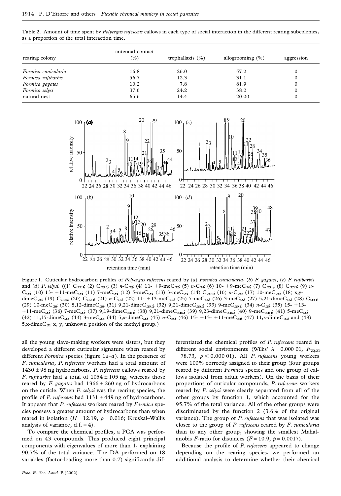Table 2. Amount of time spent by *Polyergus rufescens* callows in each type of social interaction in the different rearing subcolonies, as a proportion of the total interaction time.

| rearing colony      | antennal contact<br>$(\%)$ | trophallaxis $(\%)$ | allogrooming $(\%)$ | aggression |
|---------------------|----------------------------|---------------------|---------------------|------------|
| Formica cunicularia | 16.8                       | 26.0                | 57.2                |            |
| Formica rufibarbis  | 56.7                       | 12.3                | 31.1                |            |
| Formica gagates     | 10.2                       | 7.8                 | 81.9                |            |
| Formica selysi      | 37.6                       | 24.2                | 38.2                |            |
| natural nest        | 65.6                       | 14.4                | 20.00               |            |



Figure 1. Cuticular hydrocarbon profiles of *Polyergus rufescens* reared by (a) Formica cunicularia, (b) F. gagates, (c) F. rufibarbis and (*d*) *F*. *selysi.* ((1) C<sub>22</sub>; (2) C<sub>23</sub>; (3) *n*-C<sub>23</sub>; (4) 11- +9-meC<sub>23</sub>; (5) *n*-C<sub>24</sub>; (6) 10- +9-meC<sub>24</sub>; (7) C<sub>25:n</sub>; (8) C<sub>25:1</sub>; (9) *n*- $C_{25}$  (10) 13- +11-me $C_{25}$  (11) 7-me $C_{25}$  (12) 5-me $C_{25}$  (13) 3-me $C_{25}$  (14)  $C_{26}$ ; (16) *n*- $C_{26}$  (17) 10-me $C_{26}$ ; (18) x,ydimeC<sub>26</sub>; (19) C<sub>27:2</sub>; (20) C<sub>27:1</sub>; (21) *n*-C<sub>27</sub>; (22) 11- +13-meC<sub>27</sub>; (25) 7-meC<sub>27</sub>; (26) 3-meC<sub>27</sub>; (27) 5,21-dimeC<sub>27</sub>; (28) C<sub>281</sub>; (29) 10-meC<sub>28</sub>; (30) 8,12-dimeC<sub>28</sub>; (31) 9,21-dimeC<sub>292</sub>; (32) 9,21-dimeC<sub>292</sub>; (33) 9-meC<sub>291</sub>; (34) *n*-C<sub>28</sub>; (35) 15- +13- $+11\text{-meC}_{25}(36)$  7 $-\text{meC}_{25}(37)$  9,19 $-\text{dim}$ eC<sub>31:1</sub>; (38) 9,21 $-\text{dim}$ eC<sub>31:2</sub>; (39) 9,23 $-\text{dim}$ eC<sub>31:2</sub>; (40) 9 $-\text{meC}_{31:1}$ ; (41) 5 $-\text{meC}_{25}$ (42) 11,15-dimeC<sub>29</sub>; (43) 3-meC<sub>29</sub>; (44) 5,x-dimeC<sub>29</sub>; (45) *n*-C<sub>29</sub>; (46) 15- +13- +11-meC<sub>31</sub>; (47) 11,x-dimeC<sub>31</sub>; and (48) 5,x-dimeC<sub>31</sub> x, y, unknown position of the methyl group.)

all the young slave-making workers were sisters, but they developed a different cuticular signature when reared by different *Formica* species (figure  $1a-d$ ). In the presence of *F*. *cunicularia*, *P*. *rufescens* workers had a total amount of ± 98 ng hydrocarbons. *P*. *rufescens* callows reared by *F. rufibarbis* had a total of  $1054 \pm 105$  ng, whereas those reared by *F. gagates* had  $1366 \pm 260$  ng of hydrocarbons on the cuticle. When *F*. *selysi* was the rearing species, the profile of *P. rufescens* had  $1131 \pm 449$  ng of hydrocarbons. It appears that *P*. *rufescens* workers reared by *Formica* species possess a greater amount of hydrocarbons than when reared in isolation ( $H = 12.19$ ,  $p = 0.016$ ; Kruskal–Wallis analysis of variance,  $d.f. = 4$ ).

To compare the chemical profiles, a PCA was performed on 43 compounds. This produced eight principal components with eigenvalues of more than 1, explaining 90.7% of the total variance. The DA performed on 18 variables (factor-loading more than  $0.7$ ) significantly dif-

*Proc. R. Soc. Lond.* B (2002)

ferentiated the chemical profiles of *P. rufescens* reared in different social environments (Wilks'  $\lambda = 0.000 \space 01$ ,  $F_{72,29}$  = 78.73,  $p < 0.000 \space 01$ ). All *P. rufescens* young workers were 100% correctly assigned to their group (four groups reared by different *Formica* species and one group of callows isolated from adult workers). On the basis of their proportions of cuticular compounds, *P*. *rufescens* workers reared by *F*. *selysi* were clearly separated from all of the other groups by function 1, which accounted for the 95.7% of the total variance. All of the other groups were discriminated by the function 2 (3.6% of the original variance). The group of *P*. *rufescens* that was isolated was closer to the group of *P*. *rufescens* reared by *F*. *cunicularia* than to any other group, showing the smallest Mahal anobis *F*-ratio for distances ( $F = 10.9$ ,  $p = 0.0017$ ).

Because the profile of *P. rufescens* appeared to change depending on the rearing species, we performed an additional analysis to determine whether their chemical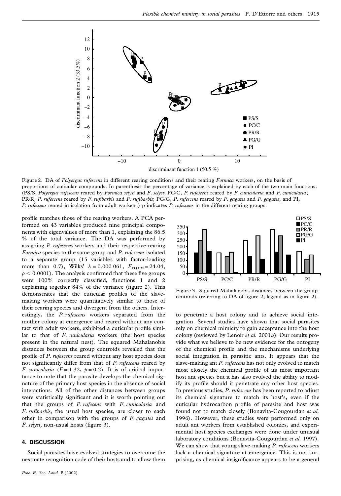

Figure 2. DA of *Polyergus rufescens* in different rearing conditions and their rearing *Formica* workers, on the basis of proportions of cuticular compounds. In parenthesis the percentage of variance is explained by each of the two main functions. (PS/S, *Polyergus rufescens* reared by *Formica selysi* and *F*. *selysi*; PC/C, *P*. *rufescens* reared by *F*. *cunicularia* and *F*. *cunicularia*; PR/R, *P*. *rufescens* reared by *F*. *ru barbis* and *F*. *ru barbis*; PG/G, *P*. *rufescens* reared by *F*. *gagates* and *F*. *gagates*; and PI, *P*. *rufescens* reared in isolation from adult workers.) p indicates *P*. *rufescens* in the different rearing groups.

profile matches those of the rearing workers. A PCA performed on 43 variables produced nine principal compo nents with eigenvalues of more than 1, explaining the 86.5 % of the total variance. The DA was performed by assigning *P*. *rufescens* workers and their respective rearing *Formica* species to the same group and *P*. *rufescens* isolated to a separate group (15 variables with factor-loading more than 0.7), Wilks'  $\lambda = 0.000061$ ,  $F_{60,131} = 24.04$ ,  $p < 0.0001$ ). The analysis confirmed that these five groups were 100% correctly classified, functions 1 and 2 explaining together  $84\%$  of the variance (figure 2). This demonstrates that the cuticular profiles of the slavemaking workers were quantitatively similar to those of their rearing species and divergent from the others. Inter estingly, the *P*. *rufescens* workers separated from the mother colony at emergence and reared without any contact with adult workers, exhibited a cuticular profile similar to that of *F*. *cunicularia* workers (the host species present in the natural nest). The squared Mahalanobis distances between the group centroids revealed that the profile of *P. rufescens* reared without any host species does not significantly differ from that of *P. rufescens* reared by *F. cunicularia*  $(F = 1.32, p = 0.2)$ . It is of critical importance to note that the parasite develops the chemical sig nature of the primary host species in the absence of social interactions. All of the other distances between groups were statistically significant and it is worth pointing out that the groups of *P*. *rufecens* with *F*. *cunicularia* and *F. rufibarbis*, the usual host species, are closer to each other in comparison with the groups of *F*. *gagates* and *F. selvsi*, non-usual hosts (figure 3).

### **4. DISCUSSION**

Social parasites have evolved strategies to overcome the nestmate recognition code of their hosts and to allow them



Figure 3. Squared Mahalanobis distances between the group centroids (referring to DA of figure 2; legend as in figure 2).

to penetrate a host colony and to achieve social inte gration. Several studies have shown that social parasites rely on chemical mimicry to gain acceptance into the host colony (reviewed by Lenoir *et al.* 2001*a*). Our results pro vide what we believe to be new evidence for the ontogeny of the chemical profile and the mechanisms underlying social integration in parasitic ants. It appears that the slave-making ant *P*. *rufescens* has not only evolved to match most closely the chemical profile of its most important host ant species but it has also evolved the ability to modify its profile should it penetrate any other host species. In previous studies, *P*. *rufescens* has been reported to adjust its chemical signature to match its host's, even if the cuticular hydrocarbon profile of parasite and host was found not to match closely (Bonavita-Cougourdan *et al.* 1996). However, these studies were performed only on adult ant workers from established colonies, and experi mental host species exchanges were done under unusual laboratory conditions (Bonavita-Cougourdan *et al.* 1997). We can show that young slave-making *P*. *rufescens* workers lack a chemical signature at emergence. This is not sur prising, as chemical insignificance appears to be a general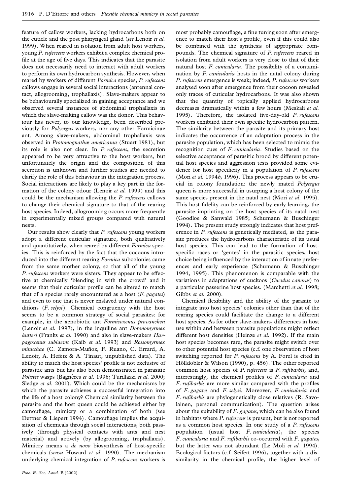feature of callow workers, lacking hydrocarbons both on the cuticle and the post pharyngeal gland (*see* Lenoir *et al.* 1999). When reared in isolation from adult host workers, young *P*. *rufescens* workers exhibit a complex chemical pro file at the age of five days. This indicates that the parasite does not necessarily need to interact with adult workers to perform its own hydrocarbon synthesis. However, when reared by workers of different *Formica* species, *P*. *rufescens* callows engage in several social interactions (antennal contact, allogrooming, trophallaxis). Slave-makers appear to be behaviourally specialized in gaining acceptance and we observed several instances of abdominal trophallaxis in which the slave-making callow was the donor. This behaviour has never, to our knowledge, been described pre viously for *Polyergus* workers, nor any other Formicinae ant. Among slave-makers, abdominal trophallaxis was observed in *Protomognathus americanus* (Stuart 1981), but its role is also not clear. In *P*. *rufescens*, the secretion appeared to be very attractive to the host workers, but unfortunately the origin and the composition of this secretion is unknown and further studies are needed to clarify the role of this behaviour in the integration process. Social interactions are likely to play a key part in the for mation of the colony odour (Lenoir *et al.* 1999) and this could be the mechanism allowing the *P*. *rufescens* callows to change their chemical signature to that of the rearing host species. Indeed, allogrooming occurs more frequently in experimentally mixed groups compared with natural nests.

Our results show clearly that *P*. *rufescens* young workers adopt a different cuticular signature, both qualitatively and quantitatively, when reared by different *Formica* species. This is reinforced by the fact that the cocoons intro duced into the different rearing *Formica* subcolonies came from the same mother colony, so that all of the young *P*. *rufescens* workers were sisters. They appear to be effective at chemically 'blending in with the crowd' and it seems that their cuticular profile can be altered to match that of a species rarely encountered as a host (*F*. *gagates*) and even to one that is never enslaved under natural con ditions (*F*. *selysi*). Chemical congruency with the host seems to be a common strategy of social parasites: for example, in the xenobiotic ant *Formicoxenus provancheri* (Lenoir *et al.* 1997), in the inquiline ant *Doronomyrmex kutteri* (Franks *et al.* 1990) and also in slave-makers *Harpagoxenus sublaevis* (Kaib *et al.* 1993) and *Rossomyrmex* minuchae (C. Zamora-Muñoz, F. Ruano, C. Errard, A. Lenoir, A. Hefetz & A. Tinaut, unpublished data). The ability to match the host species' profile is not exclusive of parasitic ants but has also been demonstrated in parasitic *Polistes* wasps (Bagnères *et al.* 1996; Turillazzi *et al.* 2000; Sledge *et al.* 2001). Which could be the mechanisms by which the parasite achieves a successful integration into the life of a host colony? Chemical similarity between the parasite and the host queen could be achieved either by camouflage, mimicry or a combination of both (see Dettner & Liepert 1994). Camouflage implies the acquisition of chemicals through social interactions, both passively (through physical contacts with ants and nest material) and actively (by allogrooming, trophallaxis). Mimicry means a *de novo* biosynthesis of host-specific chemicals (*sensu* Howard *et al.* 1990). The mechanism underlying chemical integration of *P*. *rufescens* workers is pounds. The chemical signature of *P*. *rufescens* reared in isolation from adult workers is very close to that of their natural host *F*. *cunicularia*. The possibility of a contami nation by *F*. *cunicularia* hosts in the natal colony during *P*. *rufescens* emergence is weak; indeed, *P*. *rufescens* workers analysed soon after emergence from their cocoon revealed only traces of cuticular hydrocarbons. It was also shown that the quantity of topically applied hydrocarbons decreases dramatically within a few hours (Meskali *et al.* 1995). Therefore, the isolated five-day-old *P. rufescens* workers exhibited their own specific hydrocarbon pattern. The similarity between the parasite and its primary host indicates the occurrence of an adaptation process in the parasite population, which has been selected to mimic the recognition cues of *F*. *cunicularia*. Studies based on the selective acceptance of parasitic brood by different potential host species and aggression tests provided some evi dence for host specificity in a population of *P. rufescens* (Mori *et al.* 1994*b*, 1996). This process appears to be cru cial in colony foundation: the newly mated *Polyergus* queen is more successful in usurping a host colony of the same species present in the natal nest (Mori *et al.* 1995). This host fidelity can be reinforced by early learning, the parasite imprinting on the host species of its natal nest (Goodloe & Sanwald 1985; Schumann & Buschinger 1994). The present study strongly indicates that host pref erence in *P*. *rufescens* is genetically mediated, as the para site produces the hydrocarbons characteristic of its usual host species. This can lead to the formation of host specific races or 'gentes' in the parasitic species, host choice being influenced by the interaction of innate preferences and early experience (Schumann & Buschinger 1994, 1995). This phenomenon is comparable with the variations in adaptations of cuckoos (*Cuculus canorus*) to a particular passerine host species. (Marchetti *et al.* 1998; Gibbs *et al.* 2000).

most probably camouflage, a fine tuning soon after emergence to match their host's profile, even if this could also be combined with the synthesis of appropriate com-

Chemical flexibility and the ability of the parasite to integrate into host species' colonies other than that of the rearing species could facilitate the change to a different host species. As for other slave-makers, differences in host use within and between parasite populations might reflect different host densities (Heinze *et al.* 1992). If the main host species becomes rare, the parasite might switch over to other potential host species (c.f. one observation of host switching reported for *P*. *rufescens* by A. Forel is cited in Hölldobler & Wilson (1990), p. 456). The other reported common host species of *P*. *rufescens* is *F*. *ru barbis*, and, interestingly, the chemical profiles of *F. cunicularia* and *F. rufibarbis* are more similar compared with the profiles of *F*. *gagates* and *F*. *selysi.* Moreover, *F*. *cunicularia* and *F*. *ru barbis* are phylogenetically close relatives (R. Savolainen, personal communication). The question arises about the suitability of *F*. *gagates*, which can be also found in habitats where *P*. *rufescens* is present, but is not reported as a common host species. In one study of a *P*. *rufescens* population (usual host *F*. *cunicularia*), the species *F*. *cunicularia* and *F*. *ru barbis* co-occurred with *F*. *gagates*, but the latter was not abundant (Le Moli *et al.* 1994). Ecological factors (c.f. Seifert 1996), together with a dis similarity in the chemical profile, the higher level of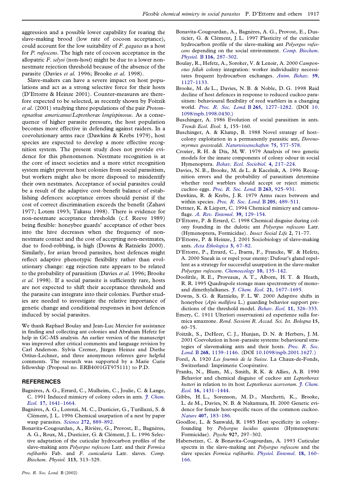aggression and a possible lower capability for rearing the slave-making brood (low rate of cocoon acceptance), could account for the low suitability of *F*. *gagates* as a host for *P*. *rufescens*. The high rate of cocoon acceptance in the allopatric *F*. *selysi* (non-host) might be due to a lower non nestmate rejection threshold because of the absence of the parasite (Davies *et al.* 1996; Brooke *et al.* 1998).

Slave-makers can have a severe impact on host populations and act as a strong selective force for their hosts (D'Ettorre & Heinze 2001). Counter-measures are therefore expected to be selected, as recently shown by Foitzik *et al.* (2001) studying three populations of the pair *Protomognathus americanus*/*Leptothorax longispinosus*. As a conse quence of higher parasite pressure, the host population becomes more effective in defending against raiders. In a coevolutionary arms race (Dawkins & Krebs 1979), host species are expected to develop a more effective recog nition system. The present study does not provide evi dence for this phenomenon. Nestmate recognition is at the core of insect societies and a more strict recognition system might prevent host colonies from social parasitism, but workers might also be more disposed to misidentify their own nestmates. Acceptance of social parasites could be a result of the adaptive cost-benefit balance of establishing defences: acceptance errors should persist if the cost of correct discrimination exceeds the benefit (Zahavi 1977; Lotem 1993; Takasu 1998). There is evidence for non-nestmate acceptance thresholds (c.f. Reeve 1989) being flexible: honeybee guards' acceptance of other bees into the hive decreases when the frequency of non nestmate contact and the cost of accepting non-nestmates, due to food-robbing, is high (Downs & Ratnieks 2000). Similarly, for avian brood parasites, host defences might reflect adaptive phenotypic flexibility rather than evolutionary change: egg rejection rate appears to be related to the probability of parasitism (Davies *et al.* 1996; Brooke *et al.* 1998). If a social parasite is sufficiently rare, hosts are not expected to shift their acceptance threshold and the parasite can integrate into their colonies. Further studies are needed to investigate the relative importance of genetic change and conditional responses in host defences induced by social parasites.

We thank Raphael Boulay and Jean-Luc Mercier for assistance in finding and collecting ant colonies and Abraham Hefetz for help in GC-MS analysis. An earlier version of the manuscript was improved after critical comments and language revision by Carl Anderson. Sylvia Cremer, Jürgen Heinze and Diethe Ortius-Lechner, and three anonymous referees gave helpful comments. The research was supported by a Marie Curie fellowship (Proposal no. ERB4001GT975111) to P.D.

#### **REFERENCES**

- Bagnères, A. G., Errard, C., Mulheim, C., Joulie, C. & Lange, C. 1991 Induced mimicry of colony odors in ants. *J. [Chem.](http://zerlina.catchword.com/nw=1/rpsv/cgi-bin/linker?ext=a&reqidx=/0098-0331^28^2917L.1641[aid=1947242]) Ecol.* **17**, [1641–1664.](http://zerlina.catchword.com/nw=1/rpsv/cgi-bin/linker?ext=a&reqidx=/0098-0331^28^2917L.1641[aid=1947242])
- Bagnères, A. G., Lorenzi, M. C., Dusticier, G., Turillazzi, S. & Clément, J. L. 1996 Chemical usurpation of a nest by paper wasp parasites. *Science* **272**, [889–892.](http://zerlina.catchword.com/nw=1/rpsv/cgi-bin/linker?ext=a&reqidx=/0036-8075^28^29272L.889[aid=1947243])
- Bonavita-Cougourdan, A., Rivière, G., Provost, E., Bagnères, A. G., Roux, M., Dusticier, G. & Clément, J. L. 1996 Selective adaptation of the cuticular hydrocarbon profiles of the slave-making ants *Polyergus rufescens* Latr. and their *Formica ru barbis* Fab. and *F. cunicularia* Latr. slaves. *Comp. Biochem. Physiol.* **113**, 313–329.
- Bonavita-Cougourdan, A., Bagnères, A. G., Provost, E., Dusticier, G. & Clément, J. L. 1997 Plasticity of the cuticular hydrocarbon profile of the slave-making ant *Polyergus rufescens* depending on the social environment. *Comp. [Biochem.](http://zerlina.catchword.com/nw=1/rpsv/cgi-bin/linker?ext=a&reqidx=/0305-0491^28^29116L.287[aid=1947244]) Physiol.* B **116**, [287–302.](http://zerlina.catchword.com/nw=1/rpsv/cgi-bin/linker?ext=a&reqidx=/0305-0491^28^29116L.287[aid=1947244])
- Boulay, R., Hefetz, A., Soroker, V. & Lenoir, A. 2000 *Campon otus fellah* colony integration: worker individuality necessitates frequent hydrocarbon exchanges. *Anim. [Behav.](http://zerlina.catchword.com/nw=1/rpsv/cgi-bin/linker?ext=a&reqidx=/0003-3472^28^2959L.1127[aid=2970972])* **59**, [1127–1133.](http://zerlina.catchword.com/nw=1/rpsv/cgi-bin/linker?ext=a&reqidx=/0003-3472^28^2959L.1127[aid=2970972])
- Brooke, M. de L., Davies, N. B. & Noble, D. G. 1998 Raid decline of host defences in response to reduced cuckoo para sitism: behavioural flexibility of reed warblers in a changing world. *Proc. R. Soc. Lond.* B **265**, [1277–1282.](http://zerlina.catchword.com/nw=1/rpsv/cgi-bin/linker?ext=a&reqidx=/0962-8452^28^29265L.1277[aid=30330]) (DOI [10.](http://dx.doi.org/10.1098/rspb.1998.0430) [1098/rspb.1998.0430.](http://dx.doi.org/10.1098/rspb.1998.0430))
- Buschinger, A. 1986 Evolution of social parasitism in ants. *Trends Ecol. Evol.* **1**, 155–160.
- Buschinger, A. & Klump, B. 1988 Novel strategy of host– colony exploitation in a permanently parasitic ant, *Doronomyrmex goesswaldi*. *[Naturwissenschaften](http://zerlina.catchword.com/nw=1/rpsv/cgi-bin/linker?ext=a&reqidx=/0028-1042^28^2975L.577[aid=2643924])* **75**, 577–578.
- Crozier, R. H. & Dix, M. W. 1979 Analysis of two genetic models for the innate components of colony odour in social Hymenoptera. *Behav. Ecol. Sociobiol.* **4**, [217–224.](http://zerlina.catchword.com/nw=1/rpsv/cgi-bin/linker?ext=a&reqidx=/0340-5443^28^294L.217[aid=1156237])
- Davies, N. B., Brooke, M. de L. & Kacelnik, A. 1996 Recog nition errors and the probability of parasitism determine whether reed warblers should accept or reject mimetic cuckoo eggs. *Proc. R. Soc. Lond.* B **263**, [925–931.](http://zerlina.catchword.com/nw=1/rpsv/cgi-bin/linker?ext=a&reqidx=/0962-8452^28^29263L.925[aid=30311])
- Dawkins, R. & Krebs, J. R. 1979 Arms races between and within species. *Proc. R. Soc. Lond.* B **205**, [489–511.](http://zerlina.catchword.com/nw=1/rpsv/cgi-bin/linker?ext=a&reqidx=/0962-8452^28^29205L.489[aid=8042])
- Dettner, K. & Liepert, C. 1994 Chemical mimicry and camou age. *A. Rev. Entomol.* **39**, [129–154.](http://zerlina.catchword.com/nw=1/rpsv/cgi-bin/linker?ext=a&reqidx=/0066-4170^28^2939L.129[aid=1947263])
- D'Ettorre, P. & Errard, C. 1998 Chemical disguise during col ony founding in the dulotic ant *Polyergus rufescens* Latr. (Hymenoptera, Formicidae). *Insect Social Life* **2**, 71–77.
- D'Ettorre, P. & Heinze, J. 2001 Sociobiology of slave-making ants. *Acta [Ethologica](http://zerlina.catchword.com/nw=1/rpsv/cgi-bin/linker?ext=a&reqidx=/0873-9749^28^293L.67[aid=1947250])* **3**, 67–82.
- D'Ettorre, P., Errard, C., Ibarra, F., Francke, W. & Hefetz, A. 2000 Sneak in or repel your enemy: Dufour's gland repellent as a strategy for successful usurpation in the slave-maker *Polyergus rufescens*. *[Chemoecology](http://zerlina.catchword.com/nw=1/rpsv/cgi-bin/linker?ext=a&reqidx=/0937-7409^28^2910L.135[aid=1947251])* **10**, 135–142.
- Doolittle, R. E., Proveaux, A. T., Alborn, H. T. & Heath, R. R. 1995 Quadrupole storage mass spectrometry of mono and dimethylalkanes. *J. Chem. Ecol.* **21**, [1677–1695.](http://zerlina.catchword.com/nw=1/rpsv/cgi-bin/linker?ext=a&reqidx=/0098-0331^28^2921L.1677[aid=2970973])
- Downs, S. G. & Ratnieks, F. L. W. 2000 Adaptive shifts in honeybee (*Apis mellifera* L.) guarding behavior support pre dictions of the threshold model. *Behav. Ecol.* **11**, [326–333.](http://zerlina.catchword.com/nw=1/rpsv/cgi-bin/linker?ext=a&reqidx=/1045-2249^28^2911L.326[aid=2970974])
- Emery, C. 1911 Ulteriori osservazioni ed esperienze sulla for mica amazzone. *Rend. Sessioni R. Accad. Sci. Ist. Bologna* **15**, 60–75.
- Foitzik, S., DeHeer, C. J., Hunjan, D. N. & Herbers, J. M. 2001 Coevolution in host–parasite systems: behavioural strategies of slavemaking ants and their hosts. *[Proc.](http://zerlina.catchword.com/nw=1/rpsv/cgi-bin/linker?ext=a&reqidx=/0962-8452^28^29268L.1139[aid=1947252]) R. Soc. Lond.* B **268**, [1139–1146.](http://zerlina.catchword.com/nw=1/rpsv/cgi-bin/linker?ext=a&reqidx=/0962-8452^28^29268L.1139[aid=1947252]) (DOI [10.1098/rspb.2001.1627.\)](http://dx.doi.org/10.1098/rspb.2001.1627)
- Forel, A. 1920 *Les fourmis de la Suisse*. La Chaux-de-Fonds, Switzerland: Imprimerie Coopérative.
- Franks, N., Blum, M., Smith, R. K. & Allies, A. B. 1990 Behavior and chemical disguise of cuckoo ant *Leptothorax kutteri* in relation to its host *Leptothorax acervorum*. *J. [Chem.](http://zerlina.catchword.com/nw=1/rpsv/cgi-bin/linker?ext=a&reqidx=/0098-0331^28^2916L.1431[aid=1947253]) Ecol.* **16**, [1431–1444.](http://zerlina.catchword.com/nw=1/rpsv/cgi-bin/linker?ext=a&reqidx=/0098-0331^28^2916L.1431[aid=1947253])
- Gibbs, H. L., Sorenson, M. D., Marchetti, K., Brooke, L. de M., Davies, N. B. & Nakamura, H. 2000 Genetic evi dence for female host-specific races of the common cuckoo. *Nature* **407**, [183–186.](http://zerlina.catchword.com/nw=1/rpsv/cgi-bin/linker?ext=a&reqidx=/0028-0836^28^29407L.183[aid=2319803])
- Goodloe, L. & Sanwald, R. 1985 Host specificity in colonyfounding by *Polyergus lucidus* queens (Hymenoptera: Formicidae). *Psyche* **927**, 297–302.
- Habersetzer, C. & Bonavita-Cougourdan, A. 1993 Cuticular spectra in the slave-making ant *Polyergus rufescens* and the slave species *Formica ru barbis*. *Physiol. [Entomol.](http://zerlina.catchword.com/nw=1/rpsv/cgi-bin/linker?ext=a&reqidx=/0307-6962^28^2918L.160[aid=2970976])* **18**, 160– [166.](http://zerlina.catchword.com/nw=1/rpsv/cgi-bin/linker?ext=a&reqidx=/0307-6962^28^2918L.160[aid=2970976])